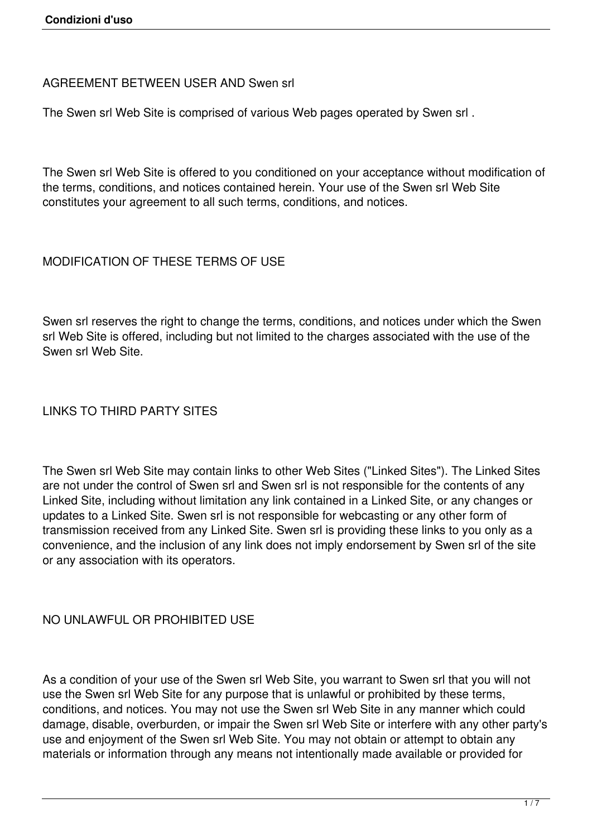AGREEMENT BETWEEN USER AND Swen srl

The Swen srl Web Site is comprised of various Web pages operated by Swen srl .

The Swen srl Web Site is offered to you conditioned on your acceptance without modification of the terms, conditions, and notices contained herein. Your use of the Swen srl Web Site constitutes your agreement to all such terms, conditions, and notices.

MODIFICATION OF THESE TERMS OF USE

Swen srl reserves the right to change the terms, conditions, and notices under which the Swen srl Web Site is offered, including but not limited to the charges associated with the use of the Swen srl Web Site.

LINKS TO THIRD PARTY SITES

The Swen srl Web Site may contain links to other Web Sites ("Linked Sites"). The Linked Sites are not under the control of Swen srl and Swen srl is not responsible for the contents of any Linked Site, including without limitation any link contained in a Linked Site, or any changes or updates to a Linked Site. Swen srl is not responsible for webcasting or any other form of transmission received from any Linked Site. Swen srl is providing these links to you only as a convenience, and the inclusion of any link does not imply endorsement by Swen srl of the site or any association with its operators.

NO UNLAWFUL OR PROHIBITED USE

As a condition of your use of the Swen srl Web Site, you warrant to Swen srl that you will not use the Swen srl Web Site for any purpose that is unlawful or prohibited by these terms, conditions, and notices. You may not use the Swen srl Web Site in any manner which could damage, disable, overburden, or impair the Swen srl Web Site or interfere with any other party's use and enjoyment of the Swen srl Web Site. You may not obtain or attempt to obtain any materials or information through any means not intentionally made available or provided for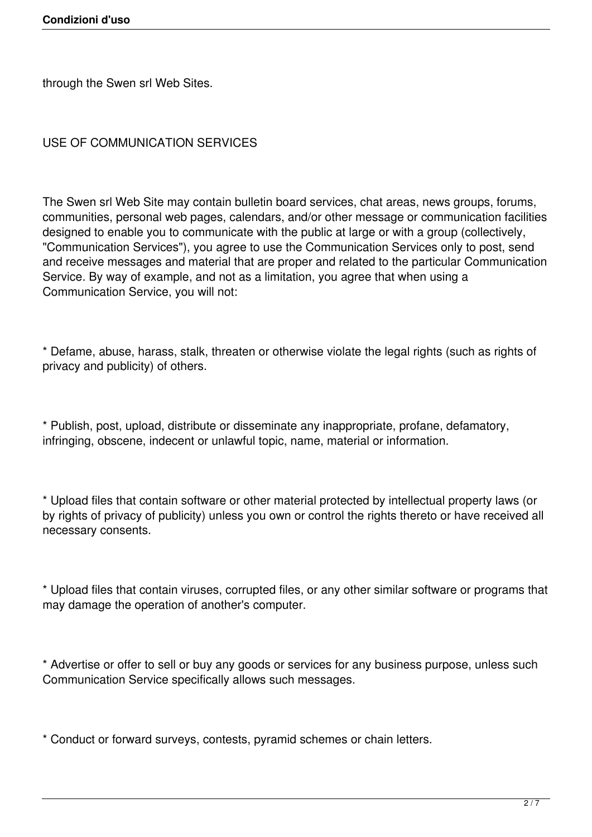through the Swen srl Web Sites.

## USE OF COMMUNICATION SERVICES

The Swen srl Web Site may contain bulletin board services, chat areas, news groups, forums, communities, personal web pages, calendars, and/or other message or communication facilities designed to enable you to communicate with the public at large or with a group (collectively, "Communication Services"), you agree to use the Communication Services only to post, send and receive messages and material that are proper and related to the particular Communication Service. By way of example, and not as a limitation, you agree that when using a Communication Service, you will not:

\* Defame, abuse, harass, stalk, threaten or otherwise violate the legal rights (such as rights of privacy and publicity) of others.

\* Publish, post, upload, distribute or disseminate any inappropriate, profane, defamatory, infringing, obscene, indecent or unlawful topic, name, material or information.

\* Upload files that contain software or other material protected by intellectual property laws (or by rights of privacy of publicity) unless you own or control the rights thereto or have received all necessary consents.

\* Upload files that contain viruses, corrupted files, or any other similar software or programs that may damage the operation of another's computer.

\* Advertise or offer to sell or buy any goods or services for any business purpose, unless such Communication Service specifically allows such messages.

\* Conduct or forward surveys, contests, pyramid schemes or chain letters.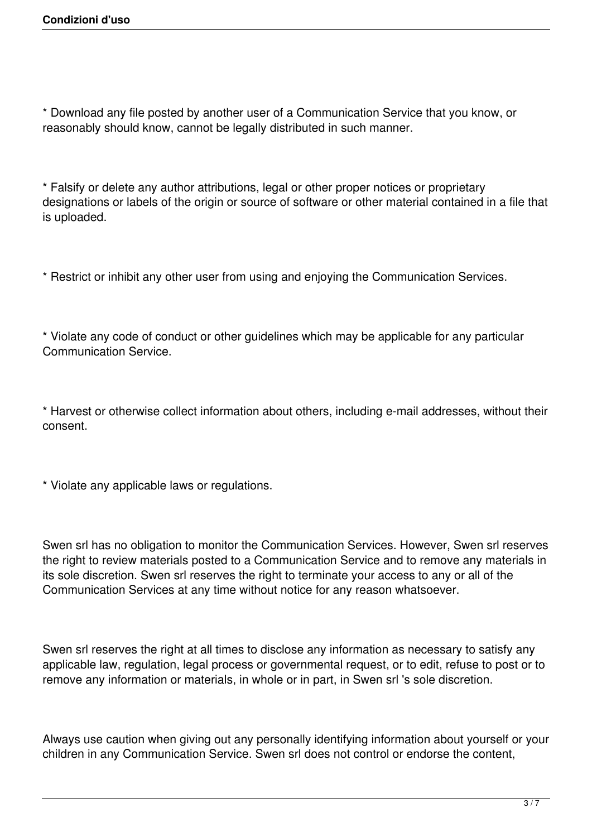\* Download any file posted by another user of a Communication Service that you know, or reasonably should know, cannot be legally distributed in such manner.

\* Falsify or delete any author attributions, legal or other proper notices or proprietary designations or labels of the origin or source of software or other material contained in a file that is uploaded.

\* Restrict or inhibit any other user from using and enjoying the Communication Services.

\* Violate any code of conduct or other guidelines which may be applicable for any particular Communication Service.

\* Harvest or otherwise collect information about others, including e-mail addresses, without their consent.

\* Violate any applicable laws or regulations.

Swen srl has no obligation to monitor the Communication Services. However, Swen srl reserves the right to review materials posted to a Communication Service and to remove any materials in its sole discretion. Swen srl reserves the right to terminate your access to any or all of the Communication Services at any time without notice for any reason whatsoever.

Swen srl reserves the right at all times to disclose any information as necessary to satisfy any applicable law, regulation, legal process or governmental request, or to edit, refuse to post or to remove any information or materials, in whole or in part, in Swen srl 's sole discretion.

Always use caution when giving out any personally identifying information about yourself or your children in any Communication Service. Swen srl does not control or endorse the content,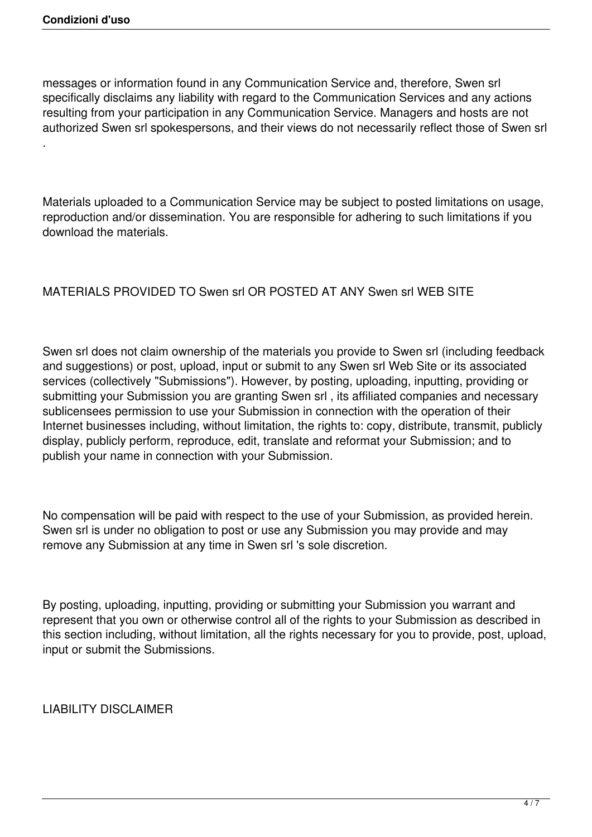.

messages or information found in any Communication Service and, therefore, Swen srl specifically disclaims any liability with regard to the Communication Services and any actions resulting from your participation in any Communication Service. Managers and hosts are not authorized Swen srl spokespersons, and their views do not necessarily reflect those of Swen srl

Materials uploaded to a Communication Service may be subject to posted limitations on usage, reproduction and/or dissemination. You are responsible for adhering to such limitations if you download the materials.

# MATERIALS PROVIDED TO Swen srl OR POSTED AT ANY Swen srl WEB SITE

Swen srl does not claim ownership of the materials you provide to Swen srl (including feedback and suggestions) or post, upload, input or submit to any Swen srl Web Site or its associated services (collectively "Submissions"). However, by posting, uploading, inputting, providing or submitting your Submission you are granting Swen srl , its affiliated companies and necessary sublicensees permission to use your Submission in connection with the operation of their Internet businesses including, without limitation, the rights to: copy, distribute, transmit, publicly display, publicly perform, reproduce, edit, translate and reformat your Submission; and to publish your name in connection with your Submission.

No compensation will be paid with respect to the use of your Submission, as provided herein. Swen srl is under no obligation to post or use any Submission you may provide and may remove any Submission at any time in Swen srl 's sole discretion.

By posting, uploading, inputting, providing or submitting your Submission you warrant and represent that you own or otherwise control all of the rights to your Submission as described in this section including, without limitation, all the rights necessary for you to provide, post, upload, input or submit the Submissions.

LIABILITY DISCLAIMER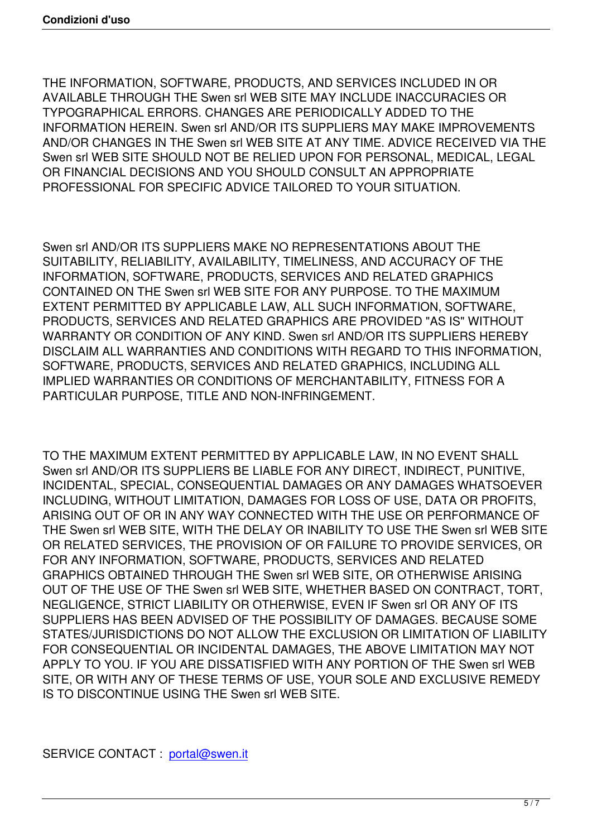THE INFORMATION, SOFTWARE, PRODUCTS, AND SERVICES INCLUDED IN OR AVAILABLE THROUGH THE Swen srl WEB SITE MAY INCLUDE INACCURACIES OR TYPOGRAPHICAL ERRORS. CHANGES ARE PERIODICALLY ADDED TO THE INFORMATION HEREIN. Swen srl AND/OR ITS SUPPLIERS MAY MAKE IMPROVEMENTS AND/OR CHANGES IN THE Swen srl WEB SITE AT ANY TIME. ADVICE RECEIVED VIA THE Swen srl WEB SITE SHOULD NOT BE RELIED UPON FOR PERSONAL, MEDICAL, LEGAL OR FINANCIAL DECISIONS AND YOU SHOULD CONSULT AN APPROPRIATE PROFESSIONAL FOR SPECIFIC ADVICE TAILORED TO YOUR SITUATION.

Swen srl AND/OR ITS SUPPLIERS MAKE NO REPRESENTATIONS ABOUT THE SUITABILITY, RELIABILITY, AVAILABILITY, TIMELINESS, AND ACCURACY OF THE INFORMATION, SOFTWARE, PRODUCTS, SERVICES AND RELATED GRAPHICS CONTAINED ON THE Swen srl WEB SITE FOR ANY PURPOSE. TO THE MAXIMUM EXTENT PERMITTED BY APPLICABLE LAW, ALL SUCH INFORMATION, SOFTWARE, PRODUCTS, SERVICES AND RELATED GRAPHICS ARE PROVIDED "AS IS" WITHOUT WARRANTY OR CONDITION OF ANY KIND. Swen srl AND/OR ITS SUPPLIERS HEREBY DISCLAIM ALL WARRANTIES AND CONDITIONS WITH REGARD TO THIS INFORMATION, SOFTWARE, PRODUCTS, SERVICES AND RELATED GRAPHICS, INCLUDING ALL IMPLIED WARRANTIES OR CONDITIONS OF MERCHANTABILITY, FITNESS FOR A PARTICULAR PURPOSE, TITLE AND NON-INFRINGEMENT.

TO THE MAXIMUM EXTENT PERMITTED BY APPLICABLE LAW, IN NO EVENT SHALL Swen srl AND/OR ITS SUPPLIERS BE LIABLE FOR ANY DIRECT, INDIRECT, PUNITIVE, INCIDENTAL, SPECIAL, CONSEQUENTIAL DAMAGES OR ANY DAMAGES WHATSOEVER INCLUDING, WITHOUT LIMITATION, DAMAGES FOR LOSS OF USE, DATA OR PROFITS, ARISING OUT OF OR IN ANY WAY CONNECTED WITH THE USE OR PERFORMANCE OF THE Swen srl WEB SITE, WITH THE DELAY OR INABILITY TO USE THE Swen srl WEB SITE OR RELATED SERVICES, THE PROVISION OF OR FAILURE TO PROVIDE SERVICES, OR FOR ANY INFORMATION, SOFTWARE, PRODUCTS, SERVICES AND RELATED GRAPHICS OBTAINED THROUGH THE Swen srl WEB SITE, OR OTHERWISE ARISING OUT OF THE USE OF THE Swen srl WEB SITE, WHETHER BASED ON CONTRACT, TORT, NEGLIGENCE, STRICT LIABILITY OR OTHERWISE, EVEN IF Swen srl OR ANY OF ITS SUPPLIERS HAS BEEN ADVISED OF THE POSSIBILITY OF DAMAGES. BECAUSE SOME STATES/JURISDICTIONS DO NOT ALLOW THE EXCLUSION OR LIMITATION OF LIABILITY FOR CONSEQUENTIAL OR INCIDENTAL DAMAGES, THE ABOVE LIMITATION MAY NOT APPLY TO YOU. IF YOU ARE DISSATISFIED WITH ANY PORTION OF THE Swen srl WEB SITE, OR WITH ANY OF THESE TERMS OF USE, YOUR SOLE AND EXCLUSIVE REMEDY IS TO DISCONTINUE USING THE Swen srl WEB SITE.

SERVICE CONTACT : portal@swen.it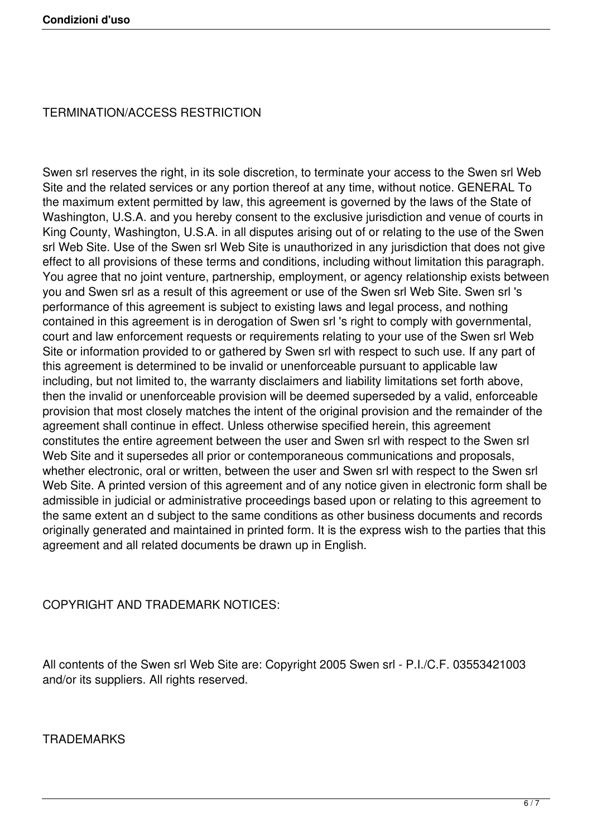### TERMINATION/ACCESS RESTRICTION

Swen srl reserves the right, in its sole discretion, to terminate your access to the Swen srl Web Site and the related services or any portion thereof at any time, without notice. GENERAL To the maximum extent permitted by law, this agreement is governed by the laws of the State of Washington, U.S.A. and you hereby consent to the exclusive jurisdiction and venue of courts in King County, Washington, U.S.A. in all disputes arising out of or relating to the use of the Swen srl Web Site. Use of the Swen srl Web Site is unauthorized in any jurisdiction that does not give effect to all provisions of these terms and conditions, including without limitation this paragraph. You agree that no joint venture, partnership, employment, or agency relationship exists between you and Swen srl as a result of this agreement or use of the Swen srl Web Site. Swen srl 's performance of this agreement is subject to existing laws and legal process, and nothing contained in this agreement is in derogation of Swen srl 's right to comply with governmental, court and law enforcement requests or requirements relating to your use of the Swen srl Web Site or information provided to or gathered by Swen srl with respect to such use. If any part of this agreement is determined to be invalid or unenforceable pursuant to applicable law including, but not limited to, the warranty disclaimers and liability limitations set forth above, then the invalid or unenforceable provision will be deemed superseded by a valid, enforceable provision that most closely matches the intent of the original provision and the remainder of the agreement shall continue in effect. Unless otherwise specified herein, this agreement constitutes the entire agreement between the user and Swen srl with respect to the Swen srl Web Site and it supersedes all prior or contemporaneous communications and proposals, whether electronic, oral or written, between the user and Swen srl with respect to the Swen srl Web Site. A printed version of this agreement and of any notice given in electronic form shall be admissible in judicial or administrative proceedings based upon or relating to this agreement to the same extent an d subject to the same conditions as other business documents and records originally generated and maintained in printed form. It is the express wish to the parties that this agreement and all related documents be drawn up in English.

### COPYRIGHT AND TRADEMARK NOTICES:

All contents of the Swen srl Web Site are: Copyright 2005 Swen srl - P.I./C.F. 03553421003 and/or its suppliers. All rights reserved.

**TRADEMARKS**